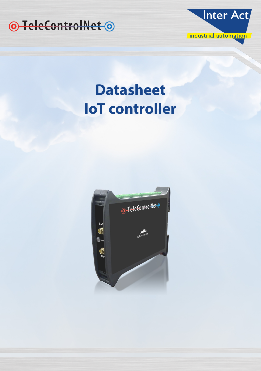



# **Datasheet IoT controller**

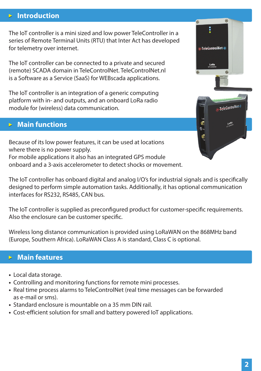# **Introduction**

The IoT controller is a mini sized and low power TeleController in a series of Remote Terminal Units (RTU) that Inter Act has developed for telemetry over internet.

The IoT controller can be connected to a private and secured (remote) SCADA domain in TeleControlNet. TeleControlNet.nl is a Software as a Service (SaaS) for WEBscada applications.

The IoT controller is an integration of a generic computing platform with in- and outputs, and an onboard LoRa radio module for (wireless) data communication.

# **Main functions**

Because of its low power features, it can be used at locations where there is no power supply. For mobile applications it also has an integrated GPS module onboard and a 3-axis accelerometer to detect shocks or movement.

The IoT controller has onboard digital and analog I/O's for industrial signals and is specifically designed to perform simple automation tasks. Additionally, it has optional communication interfaces for RS232, RS485, CAN bus.

The IoT controller is supplied as preconfigured product for customer-specific requirements. Also the enclosure can be customer specific.

Wireless long distance communication is provided using LoRaWAN on the 868MHz band (Europe, Southern Africa). LoRaWAN Class A is standard, Class C is optional.

# **Main features**

- Local data storage.
- Controlling and monitoring functions for remote mini processes.
- Real time process alarms to TeleControlNet (real time messages can be forwarded as e-mail or sms).
- Standard enclosure is mountable on a 35 mm DIN rail.
- Cost-efficient solution for small and battery powered IoT applications.



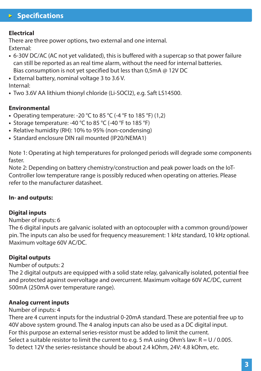# **Specifications**

#### **Electrical**

There are three power options, two external and one internal. External:

- 6-30V DC/AC (AC not yet validated), this is buffered with a supercap so that power failure can still be reported as an real time alarm, without the need for internal batteries. Bias consumption is not yet specified but less than 0,5mA @ 12V DC
- External battery, nominal voltage 3 to 3.6 V.

Internal:

**•** Two 3.6V AA lithium thionyl chloride (Li-SOCl2), e.g. Saft LS14500.

### **Environmental**

- Operating temperature: -20 °C to 85 °C (-4 °F to 185 °F) (1,2)
- Storage temperature: -40 °C to 85 °C (-40 °F to 185 °F)
- Relative humidity (RH): 10% to 95% (non-condensing)
- Standard enclosure DIN rail mounted (IP20/NEMA1)

Note 1: Operating at high temperatures for prolonged periods will degrade some components faster.

Note 2: Depending on battery chemistry/construction and peak power loads on the IoT-Controller low temperature range is possibly reduced when operating on atteries. Please refer to the manufacturer datasheet.

#### **In- and outputs:**

## **Digital inputs**

### Number of inputs: 6

The 6 digital inputs are galvanic isolated with an optocoupler with a common ground/power pin. The inputs can also be used for frequency measurement: 1 kHz standard, 10 kHz optional. Maximum voltage 60V AC/DC.

#### **Digital outputs**

#### Number of outputs: 2

The 2 digital outputs are equipped with a solid state relay, galvanically isolated, potential free and protected against overvoltage and overcurrent. Maximum voltage 60V AC/DC, current 500mA (250mA over temperature range).

#### **Analog current inputs**

#### Number of inputs: 4

There are 4 current inputs for the industrial 0-20mA standard. These are potential free up to 40V above system ground. The 4 analog inputs can also be used as a DC digital input. For this purpose an external series-resistor must be added to limit the current. Select a suitable resistor to limit the current to e.g. 5 mA using Ohm's law:  $R = U / 0.005$ . To detect 12V the series-resistance should be about 2.4 kOhm, 24V: 4.8 kOhm, etc.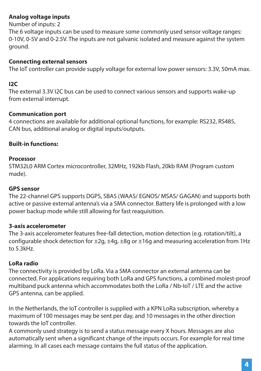# **Analog voltage inputs**

Number of inputs: 2

The 6 voltage inputs can be used to measure some commonly used sensor voltage ranges: 0-10V, 0-5V and 0-2.5V. The inputs are not galvanic isolated and measure against the system ground.

# **Connecting external sensors**

The IoT controller can provide supply voltage for external low power sensors: 3.3V, 50mA max.

# **I2C**

The external 3.3V I2C bus can be used to connect various sensors and supports wake-up from external interrupt.

# **Communication port**

4 connections are available for additional optional functions, for example: RS232, RS485, CAN bus, additional analog or digital inputs/outputs.

# **Built-in functions:**

## **Processor**

STM32L0 ARM Cortex microcontroller, 32MHz, 192kb Flash, 20kb RAM (Program custom made).

# **GPS sensor**

The 22-channel GPS supports DGPS, SBAS (WAAS/ EGNOS/ MSAS/ GAGAN) and supports both active or passive external antenna's via a SMA connector. Battery life is prolonged with a low power backup mode while still allowing for fast reaquisition.

# **3-axis accelerometer**

The 3-axis accelerometer features free-fall detection, motion detection (e.g. rotation/tilt), a configurable shock detection for  $\pm 2g$ ,  $\pm 4g$ ,  $\pm 8g$  or  $\pm 16g$  and measuring acceleration from 1Hz to 5.3kHz.

# **LoRa radio**

The connectivity is provided by LoRa. Via a SMA connector an external antenna can be connected. For applications requiring both LoRa and GPS functions, a combined molest-proof multiband puck antenna which accommodates both the LoRa / Nb-IoT / LTE and the active GPS antenna, can be applied.

In the Netherlands, the IoT controller is supplied with a KPN LoRa subscription, whereby a maximum of 100 messages may be sent per day, and 10 messages in the other direction towards the IoT controller.

A commonly used strategy is to send a status message every X hours. Messages are also automatically sent when a significant change of the inputs occurs. For example for real time alarming. In all cases each message contains the full status of the application.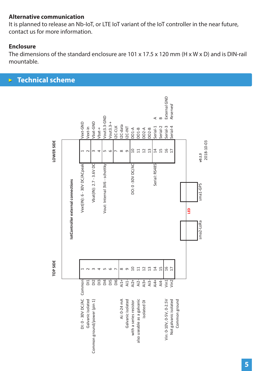### **Alternative communication**

It is planned to release an Nb-IoT, or LTE IoT variant of the IoT controller in the near future, contact us for more information.

## **Enclosure**

The dimensions of the standard enclosure are  $101 \times 17.5 \times 120$  mm (H  $\times$  W  $\times$  D) and is DIN-rail mountable.

#### **Technical scheme**  $\triangleright$

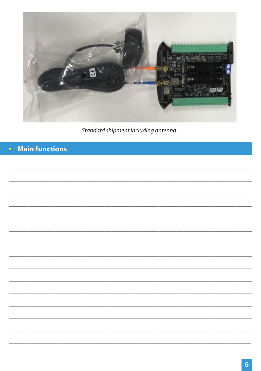

Standard shipment including antenna.

#### **Main functions**  $\mathbf{p}^{\prime}$